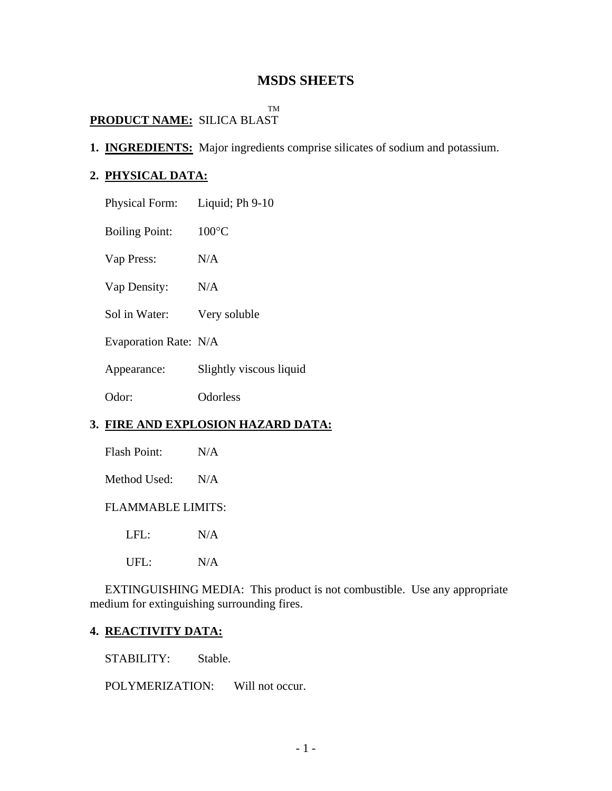# **MSDS SHEETS**

### TM

# **PRODUCT NAME:** SILICA BLAST

**1. INGREDIENTS:** Major ingredients comprise silicates of sodium and potassium.

# **2. PHYSICAL DATA:**

| <b>Physical Form:</b> | Liquid; Ph 9-10         |
|-----------------------|-------------------------|
| <b>Boiling Point:</b> | $100^{\circ}$ C         |
| Vap Press:            | N/A                     |
| Vap Density:          | N/A                     |
| Sol in Water:         | Very soluble            |
| Evaporation Rate: N/A |                         |
| Appearance:           | Slightly viscous liquid |
| Odor:                 | Odorless                |
|                       |                         |

# **3. FIRE AND EXPLOSION HAZARD DATA:**

Flash Point: N/A

Method Used: N/A

#### FLAMMABLE LIMITS:

LFL: N/A

UFL: N/A

 EXTINGUISHING MEDIA: This product is not combustible. Use any appropriate medium for extinguishing surrounding fires.

#### **4. REACTIVITY DATA:**

STABILITY: Stable.

POLYMERIZATION: Will not occur.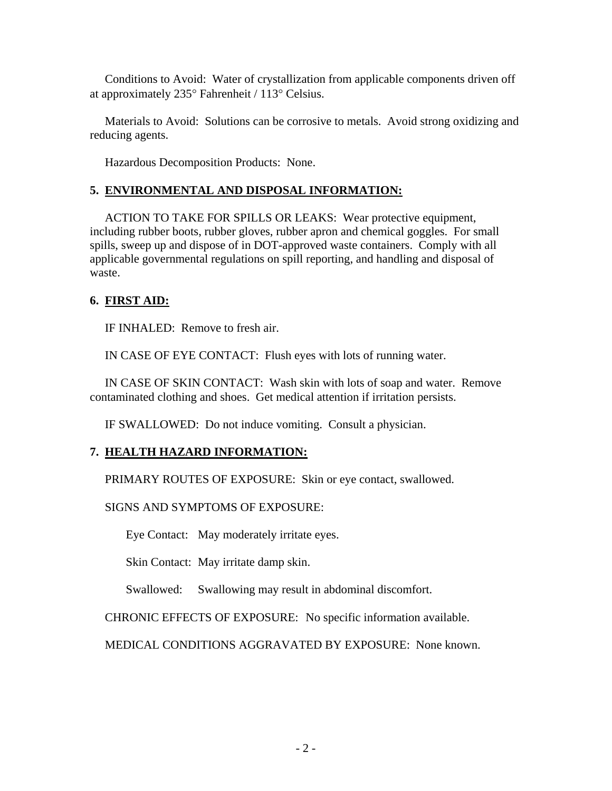Conditions to Avoid: Water of crystallization from applicable components driven off at approximately 235° Fahrenheit / 113° Celsius.

 Materials to Avoid: Solutions can be corrosive to metals. Avoid strong oxidizing and reducing agents.

Hazardous Decomposition Products: None.

# **5. ENVIRONMENTAL AND DISPOSAL INFORMATION:**

 ACTION TO TAKE FOR SPILLS OR LEAKS: Wear protective equipment, including rubber boots, rubber gloves, rubber apron and chemical goggles. For small spills, sweep up and dispose of in DOT-approved waste containers. Comply with all applicable governmental regulations on spill reporting, and handling and disposal of waste.

# **6. FIRST AID:**

IF INHALED: Remove to fresh air.

IN CASE OF EYE CONTACT: Flush eyes with lots of running water.

 IN CASE OF SKIN CONTACT: Wash skin with lots of soap and water. Remove contaminated clothing and shoes. Get medical attention if irritation persists.

IF SWALLOWED: Do not induce vomiting. Consult a physician.

### **7. HEALTH HAZARD INFORMATION:**

PRIMARY ROUTES OF EXPOSURE: Skin or eye contact, swallowed.

SIGNS AND SYMPTOMS OF EXPOSURE:

Eye Contact: May moderately irritate eyes.

Skin Contact: May irritate damp skin.

Swallowed: Swallowing may result in abdominal discomfort.

CHRONIC EFFECTS OF EXPOSURE: No specific information available.

MEDICAL CONDITIONS AGGRAVATED BY EXPOSURE: None known.